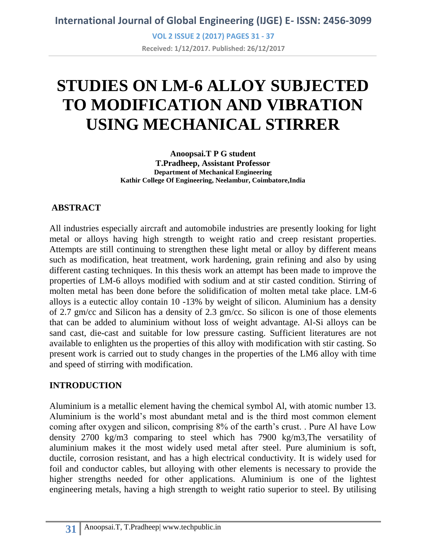**VOL 2 ISSUE 2 (2017) PAGES 31 - 37 Received: 1/12/2017. Published: 26/12/2017**

# **STUDIES ON LM-6 ALLOY SUBJECTED TO MODIFICATION AND VIBRATION USING MECHANICAL STIRRER**

**Anoopsai.T P G student T.Pradheep, Assistant Professor Department of Mechanical Engineering Kathir College Of Engineering, Neelambur, Coimbatore,India**

## **ABSTRACT**

All industries especially aircraft and automobile industries are presently looking for light metal or alloys having high strength to weight ratio and creep resistant properties. Attempts are still continuing to strengthen these light metal or alloy by different means such as modification, heat treatment, work hardening, grain refining and also by using different casting techniques. In this thesis work an attempt has been made to improve the properties of LM-6 alloys modified with sodium and at stir casted condition. Stirring of molten metal has been done before the solidification of molten metal take place. LM-6 alloys is a eutectic alloy contain 10 -13% by weight of silicon. Aluminium has a density of 2.7 gm/cc and Silicon has a density of 2.3 gm/cc. So silicon is one of those elements that can be added to aluminium without loss of weight advantage. Al-Si alloys can be sand cast, die-cast and suitable for low pressure casting. Sufficient literatures are not available to enlighten us the properties of this alloy with modification with stir casting. So present work is carried out to study changes in the properties of the LM6 alloy with time and speed of stirring with modification.

## **INTRODUCTION**

Aluminium is a metallic element having the chemical symbol Al, with atomic number 13. Aluminium is the world's most abundant metal and is the third most common element coming after oxygen and silicon, comprising 8% of the earth's crust. . Pure Al have Low density 2700 kg/m3 comparing to steel which has 7900 kg/m3,The versatility of aluminium makes it the most widely used metal after steel. Pure aluminium is soft, ductile, corrosion resistant, and has a high electrical conductivity. It is widely used for foil and conductor cables, but alloying with other elements is necessary to provide the higher strengths needed for other applications. Aluminium is one of the lightest engineering metals, having a high strength to weight ratio superior to steel. By utilising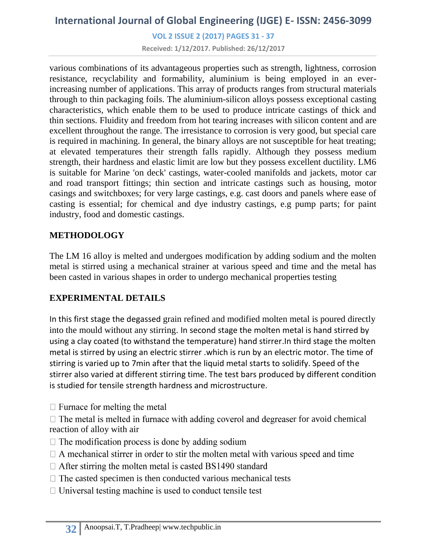**VOL 2 ISSUE 2 (2017) PAGES 31 - 37**

**Received: 1/12/2017. Published: 26/12/2017**

various combinations of its advantageous properties such as strength, lightness, corrosion resistance, recyclability and formability, aluminium is being employed in an everincreasing number of applications. This array of products ranges from structural materials through to thin packaging foils. The aluminium-silicon alloys possess exceptional casting characteristics, which enable them to be used to produce intricate castings of thick and thin sections. Fluidity and freedom from hot tearing increases with silicon content and are excellent throughout the range. The irresistance to corrosion is very good, but special care is required in machining. In general, the binary alloys are not susceptible for heat treating; at elevated temperatures their strength falls rapidly. Although they possess medium strength, their hardness and elastic limit are low but they possess excellent ductility. LM6 is suitable for Marine 'on deck' castings, water-cooled manifolds and jackets, motor car and road transport fittings; thin section and intricate castings such as housing, motor casings and switchboxes; for very large castings, e.g. cast doors and panels where ease of casting is essential; for chemical and dye industry castings, e.g pump parts; for paint industry, food and domestic castings.

#### **METHODOLOGY**

The LM 16 alloy is melted and undergoes modification by adding sodium and the molten metal is stirred using a mechanical strainer at various speed and time and the metal has been casted in various shapes in order to undergo mechanical properties testing

## **EXPERIMENTAL DETAILS**

In this first stage the degassed grain refined and modified molten metal is poured directly into the mould without any stirring. In second stage the molten metal is hand stirred by using a clay coated (to withstand the temperature) hand stirrer.In third stage the molten metal is stirred by using an electric stirrer .which is run by an electric motor. The time of stirring is varied up to 7min after that the liquid metal starts to solidify. Speed of the stirrer also varied at different stirring time. The test bars produced by different condition is studied for tensile strength hardness and microstructure.

- $\Box$  Furnace for melting the metal
- $\Box$  The metal is melted in furnace with adding coverol and degreaser for avoid chemical reaction of alloy with air
- $\Box$  The modification process is done by adding sodium
- $\Box$  A mechanical stirrer in order to stir the molten metal with various speed and time
- $\Box$  After stirring the molten metal is casted BS1490 standard
- $\Box$  The casted specimen is then conducted various mechanical tests
- $\Box$  Universal testing machine is used to conduct tensile test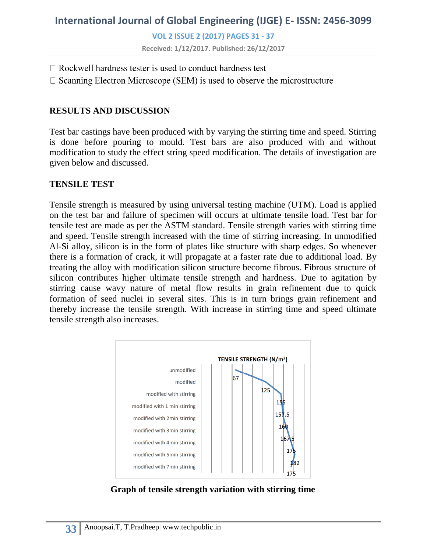**VOL 2 ISSUE 2 (2017) PAGES 31 - 37**

**Received: 1/12/2017. Published: 26/12/2017**

- $\Box$  Rockwell hardness tester is used to conduct hardness test
- $\Box$  Scanning Electron Microscope (SEM) is used to observe the microstructure

#### **RESULTS AND DISCUSSION**

Test bar castings have been produced with by varying the stirring time and speed. Stirring is done before pouring to mould. Test bars are also produced with and without modification to study the effect string speed modification. The details of investigation are given below and discussed.

#### **TENSILE TEST**

Tensile strength is measured by using universal testing machine (UTM). Load is applied on the test bar and failure of specimen will occurs at ultimate tensile load. Test bar for tensile test are made as per the ASTM standard. Tensile strength varies with stirring time and speed. Tensile strength increased with the time of stirring increasing. In unmodified Al-Si alloy, silicon is in the form of plates like structure with sharp edges. So whenever there is a formation of crack, it will propagate at a faster rate due to additional load. By treating the alloy with modification silicon structure become fibrous. Fibrous structure of silicon contributes higher ultimate tensile strength and hardness. Due to agitation by stirring cause wavy nature of metal flow results in grain refinement due to quick formation of seed nuclei in several sites. This is in turn brings grain refinement and thereby increase the tensile strength. With increase in stirring time and speed ultimate tensile strength also increases.



**Graph of tensile strength variation with stirring time**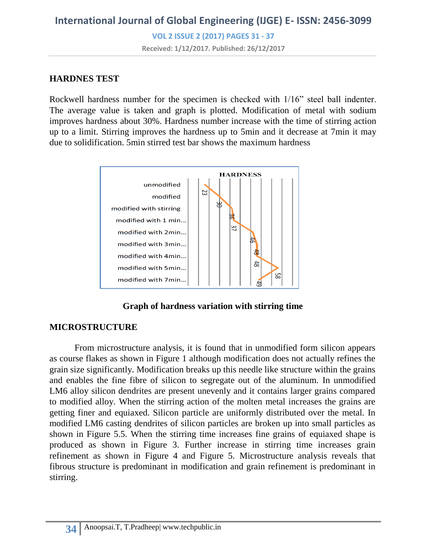**VOL 2 ISSUE 2 (2017) PAGES 31 - 37**

**Received: 1/12/2017. Published: 26/12/2017**

#### **HARDNES TEST**

Rockwell hardness number for the specimen is checked with 1/16" steel ball indenter. The average value is taken and graph is plotted. Modification of metal with sodium improves hardness about 30%. Hardness number increase with the time of stirring action up to a limit. Stirring improves the hardness up to 5min and it decrease at 7min it may due to solidification. 5min stirred test bar shows the maximum hardness



**Graph of hardness variation with stirring time**

#### **MICROSTRUCTURE**

From microstructure analysis, it is found that in unmodified form silicon appears as course flakes as shown in Figure 1 although modification does not actually refines the grain size significantly. Modification breaks up this needle like structure within the grains and enables the fine fibre of silicon to segregate out of the aluminum. In unmodified LM6 alloy silicon dendrites are present unevenly and it contains larger grains compared to modified alloy. When the stirring action of the molten metal increases the grains are getting finer and equiaxed. Silicon particle are uniformly distributed over the metal. In modified LM6 casting dendrites of silicon particles are broken up into small particles as shown in Figure 5.5. When the stirring time increases fine grains of equiaxed shape is produced as shown in Figure 3. Further increase in stirring time increases grain refinement as shown in Figure 4 and Figure 5. Microstructure analysis reveals that fibrous structure is predominant in modification and grain refinement is predominant in stirring.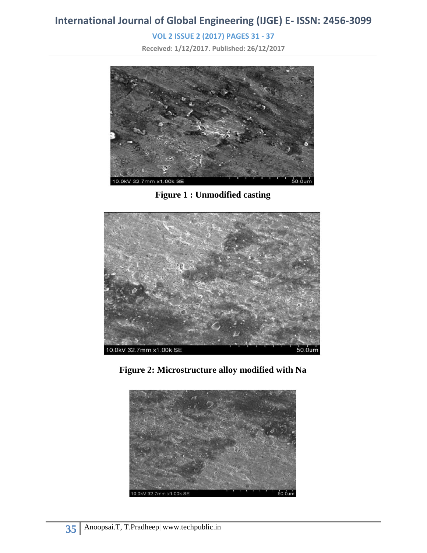**VOL 2 ISSUE 2 (2017) PAGES 31 - 37**

**Received: 1/12/2017. Published: 26/12/2017**



**Figure 1 : Unmodified casting**



**Figure 2: Microstructure alloy modified with Na**

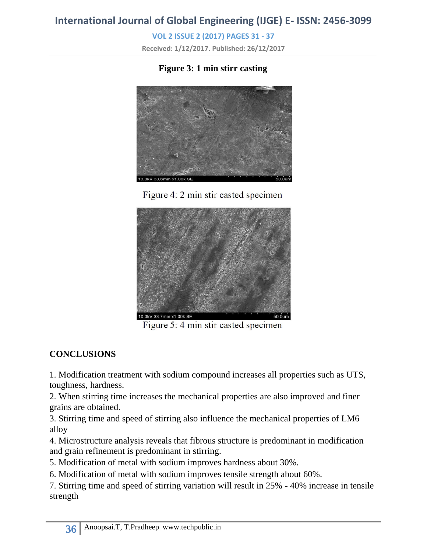**VOL 2 ISSUE 2 (2017) PAGES 31 - 37**

**Received: 1/12/2017. Published: 26/12/2017**

## **Figure 3: 1 min stirr casting**







Figure 5: 4 min stir casted specimen

## **CONCLUSIONS**

1. Modification treatment with sodium compound increases all properties such as UTS, toughness, hardness.

2. When stirring time increases the mechanical properties are also improved and finer grains are obtained.

3. Stirring time and speed of stirring also influence the mechanical properties of LM6 alloy

4. Microstructure analysis reveals that fibrous structure is predominant in modification and grain refinement is predominant in stirring.

5. Modification of metal with sodium improves hardness about 30%.

6. Modification of metal with sodium improves tensile strength about 60%.

7. Stirring time and speed of stirring variation will result in 25% - 40% increase in tensile strength